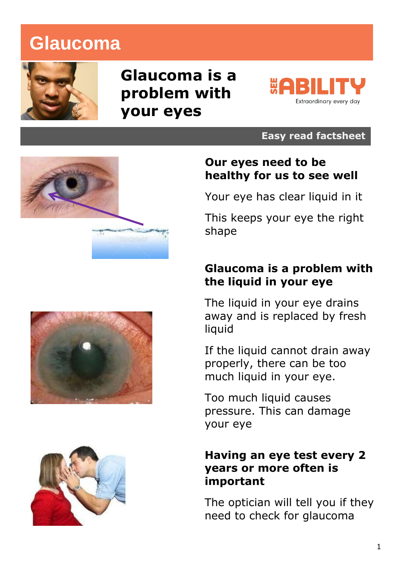# **Glaucoma**



# **Glaucoma is a problem with your eyes**



#### **Easy read factsheet**



#### **Our eyes need to be healthy for us to see well**

Your eye has clear liquid in it

This keeps your eye the right shape

#### **Glaucoma is a problem with the liquid in your eye**

The liquid in your eye drains away and is replaced by fresh liquid

If the liquid cannot drain away properly, there can be too much liquid in your eye.

Too much liquid causes pressure. This can damage your eye

#### **Having an eye test every 2 years or more often is important**

The optician will tell you if they need to check for glaucoma



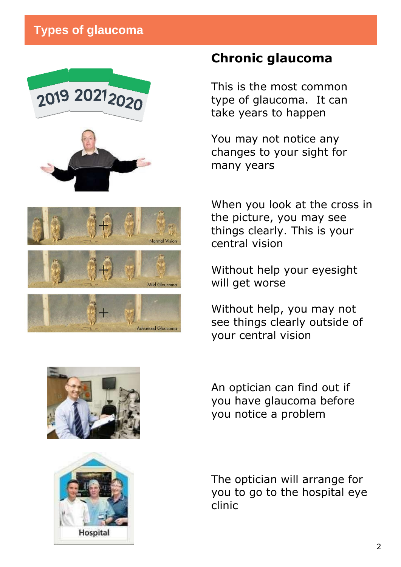### **Types of glaucoma**







dvanced Glaucon

### **Chronic glaucoma**

This is the most common type of glaucoma. It can take years to happen

You may not notice any changes to your sight for many years

When you look at the cross in the picture, you may see things clearly. This is your central vision

Without help your eyesight will get worse

Without help, you may not see things clearly outside of your central vision





An optician can find out if you have glaucoma before you notice a problem

The optician will arrange for you to go to the hospital eye clinic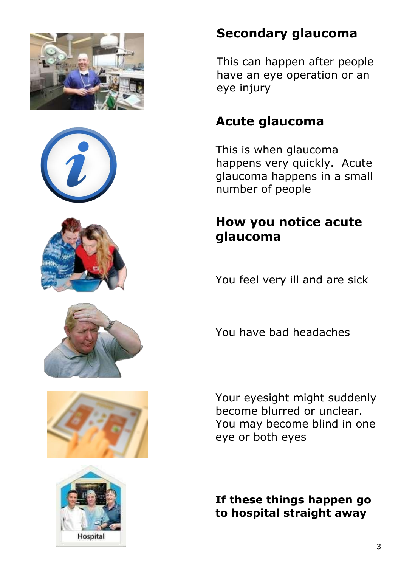











## **Secondary glaucoma**

This can happen after people have an eye operation or an eye injury

## **Acute glaucoma**

This is when glaucoma happens very quickly. Acute glaucoma happens in a small number of people

## **How you notice acute glaucoma**

You feel very ill and are sick

You have bad headaches

Your eyesight might suddenly become blurred or unclear. You may become blind in one eye or both eyes

**If these things happen go to hospital straight away**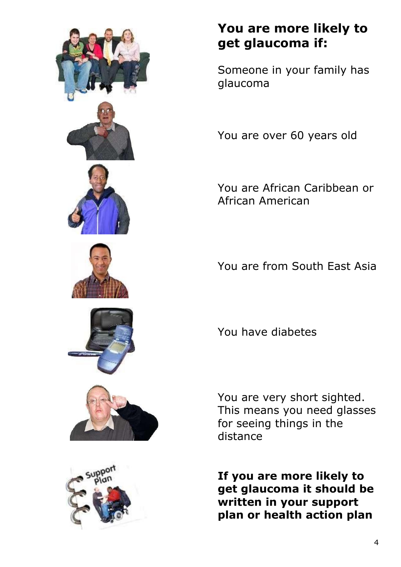

## **You are more likely to get glaucoma if:**

Someone in your family has glaucoma

You are over 60 years old

You are African Caribbean or African American

You are from South East Asia

You have diabetes

You are very short sighted. This means you need glasses for seeing things in the distance

**If you are more likely to get glaucoma it should be written in your support plan or health action plan**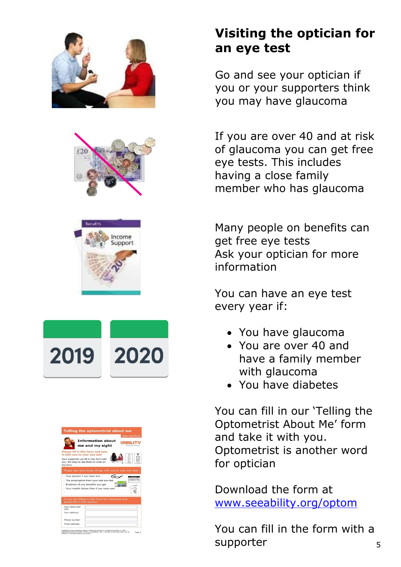

# **Visiting the optician for an eye test**

Go and see your optician if you or your supporters think you may have glaucoma

If you are over 40 and at risk of glaucoma you can get free eye tests. This includes having a close family member who has glaucoma

Many people on benefits can get free eye tests Ask your optician for more information

You can have an eye test every year if:

- You have glaucoma
- You are over 40 and have a family member with glaucoma
- You have diabetes

You can fill in our 'Telling the Optometrist About Me' form and take it with you. Optometrist is another word for optician

Download the form at [www.seeability.org/optom](http://www.seeability.org/optom)

You can fill in the form with a supporter 5







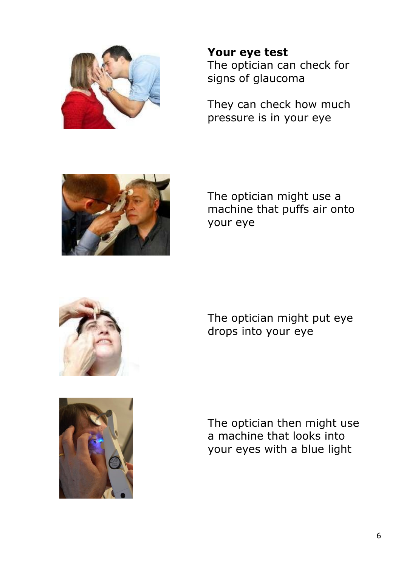

**Your eye test** The optician can check for signs of glaucoma

They can check how much pressure is in your eye



The optician might use a machine that puffs air onto your eye





The optician might put eye drops into your eye

The optician then might use a machine that looks into your eyes with a blue light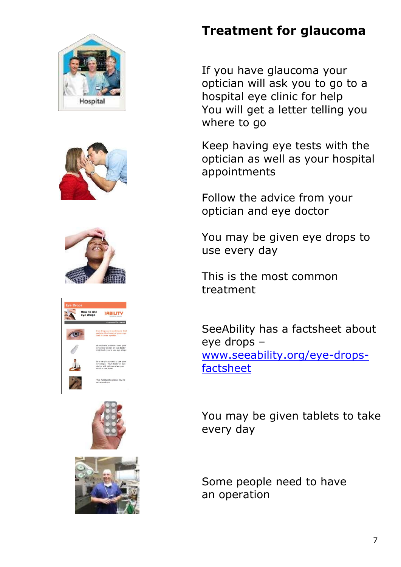## **Treatment for glaucoma**

If you have glaucoma your optician will ask you to go to a hospital eye clinic for help You will get a letter telling you where to go

Keep having eye tests with the optician as well as your hospital appointments

Follow the advice from your optician and eye doctor

You may be given eye drops to use every day

This is the most common treatment

SeeAbility has a factsheet about eye drops – [www.seeability.org/eye-drops](http://www.seeability.org/eye-drops-factsheet)[factsheet](http://www.seeability.org/eye-drops-factsheet)

You may be given tablets to take every day

Some people need to have an operation







| How to use<br>eye drops<br>ExhibitionSection exerty child |                                                                                                                        |  |  |  |  |
|-----------------------------------------------------------|------------------------------------------------------------------------------------------------------------------------|--|--|--|--|
|                                                           | <b>Easy read factsheet</b>                                                                                             |  |  |  |  |
|                                                           | Eye drops are medicines that<br>go into the front of your eye<br>and in your eyelids                                   |  |  |  |  |
|                                                           | If you have problems with your<br>eyes your doctor or eye doctor<br>might ask you to use eye drops                     |  |  |  |  |
|                                                           | It is very important to use your<br>eye drops. Your doctor or eye<br>doctor will tell you when you<br>need to use them |  |  |  |  |
|                                                           | This factsheet explains how to<br>use eye drops                                                                        |  |  |  |  |